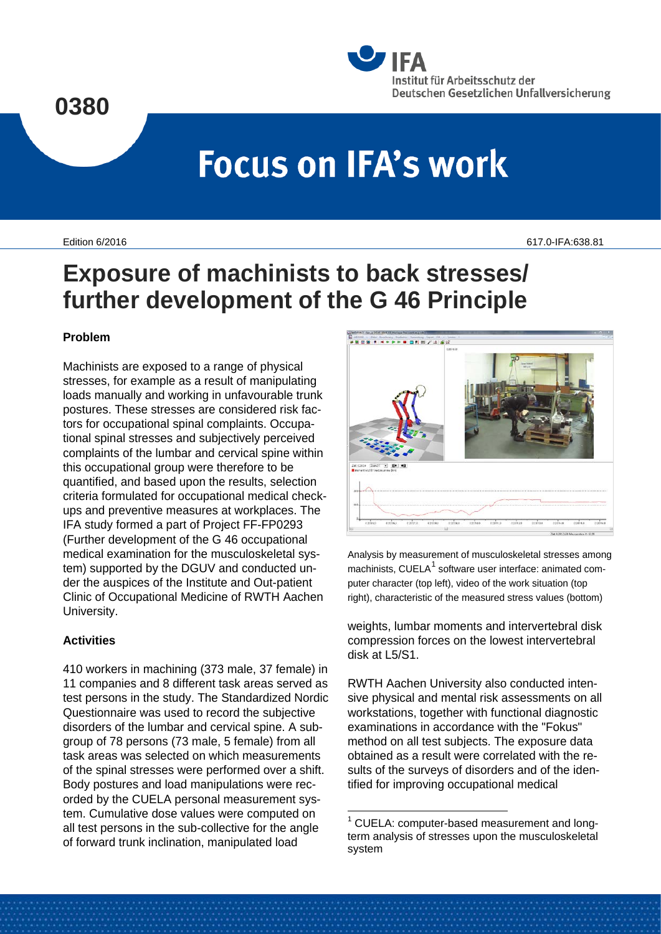

# **Focus on IFA's work**

Edition 6/2016 617.0-IFA:638.81

# **Exposure of machinists to back stresses/ further development of the G 46 Principle**

#### **Problem**

Machinists are exposed to a range of physical stresses, for example as a result of manipulating loads manually and working in unfavourable trunk postures. These stresses are considered risk factors for occupational spinal complaints. Occupational spinal stresses and subjectively perceived complaints of the lumbar and cervical spine within this occupational group were therefore to be quantified, and based upon the results, selection criteria formulated for occupational medical checkups and preventive measures at workplaces. The IFA study formed a part of Project FF-FP0293 (Further development of the G 46 occupational medical examination for the musculoskeletal system) supported by the DGUV and conducted under the auspices of the Institute and Out-patient Clinic of Occupational Medicine of RWTH Aachen University.

## **Activities**

<span id="page-0-0"></span>410 workers in machining (373 male, 37 female) in 11 companies and 8 different task areas served as test persons in the study. The Standardized Nordic Questionnaire was used to record the subjective disorders of the lumbar and cervical spine. A subgroup of 78 persons (73 male, 5 female) from all task areas was selected on which measurements of the spinal stresses were performed over a shift. Body postures and load manipulations were recorded by the CUELA personal measurement system. Cumulative dose values were computed on all test persons in the sub-collective for the angle of forward trunk inclination, manipulated load



Analysis by measurement of musculoskeletal stresses among machinists, CUELA $<sup>1</sup>$  $<sup>1</sup>$  $<sup>1</sup>$  software user interface: animated com-</sup> puter character (top left), video of the work situation (top right), characteristic of the measured stress values (bottom)

weights, lumbar moments and intervertebral disk compression forces on the lowest intervertebral disk at L5/S1.

RWTH Aachen University also conducted intensive physical and mental risk assessments on all workstations, together with functional diagnostic examinations in accordance with the "Fokus" method on all test subjects. The exposure data obtained as a result were correlated with the results of the surveys of disorders and of the identified for improving occupational medical

<sup>&</sup>lt;sup>1</sup> CUELA: computer-based measurement and longterm analysis of stresses upon the musculoskeletal system